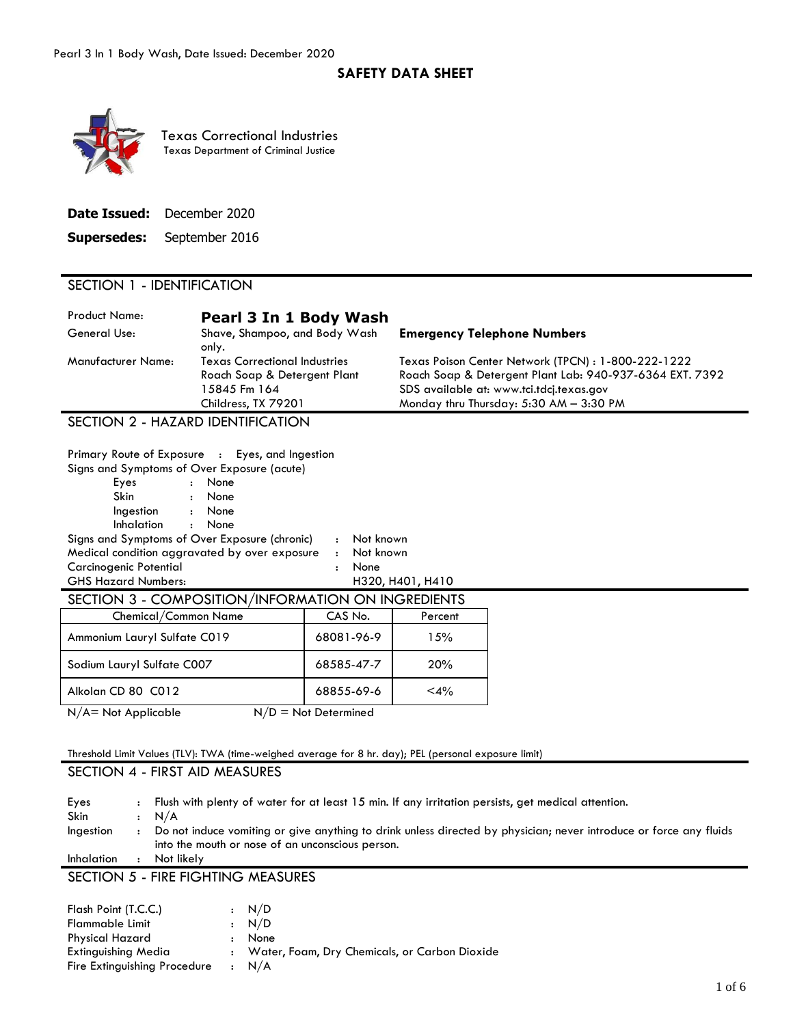### **SAFETY DATA SHEET**



 Texas Department of Criminal Justice Texas Correctional Industries

|                    | Date Issued: December 2020 |
|--------------------|----------------------------|
| <b>Supersedes:</b> | September 2016             |

### SECTION 1 - IDENTIFICATION

| <b>Product Name:</b><br>General Use: | Pearl 3 In 1 Body Wash<br>Shave, Shampoo, and Body Wash<br>only.                                            | <b>Emergency Telephone Numbers</b>                                                                                                                                                                     |
|--------------------------------------|-------------------------------------------------------------------------------------------------------------|--------------------------------------------------------------------------------------------------------------------------------------------------------------------------------------------------------|
| Manufacturer Name:                   | <b>Texas Correctional Industries</b><br>Roach Soap & Detergent Plant<br>15845 Fm 164<br>Childress, TX 79201 | Texas Poison Center Network (TPCN) : 1-800-222-1222<br>Roach Soap & Detergent Plant Lab: 940-937-6364 EXT. 7392<br>SDS available at: www.tci.tdcj.texas.gov<br>Monday thru Thursday: 5:30 AM - 3:30 PM |
|                                      |                                                                                                             |                                                                                                                                                                                                        |

SECTION 2 - HAZARD IDENTIFICATION

| Primary Route of Exposure : Eyes, and Ingestion    |                              |                  |
|----------------------------------------------------|------------------------------|------------------|
| Signs and Symptoms of Over Exposure (acute)        |                              |                  |
| Eyes<br>: None                                     |                              |                  |
| Skin<br>: None                                     |                              |                  |
| : None<br>Ingestion                                |                              |                  |
| Inhalation<br>: None                               |                              |                  |
| Signs and Symptoms of Over Exposure (chronic)      | : Not known                  |                  |
| Medical condition aggravated by over exposure      | : Not known                  |                  |
| Carcinogenic Potential                             | None<br>$\ddot{\phantom{a}}$ |                  |
| <b>GHS Hazard Numbers:</b>                         |                              | H320, H401, H410 |
| SECTION 3 - COMPOSITION/INFORMATION ON INGREDIENTS |                              |                  |
| Chemical/Common Name                               | CAS No.                      | Percent          |
| Ammonium Lauryl Sulfate C019                       | 68081-96-9                   | 15%              |
| Sodium Lauryl Sulfate C007                         | 68585-47-7                   | 20%              |
| Alkolan CD 80 C012                                 | 68855-69-6                   | $<$ 4%           |
| $N/A = Not Applicable$                             | $N/D = Not$ Determined       |                  |

## Threshold Limit Values (TLV): TWA (time-weighed average for 8 hr. day); PEL (personal exposure limit)

## SECTION 4 - FIRST AID MEASURES

| Eyes        | Flush with plenty of water for at least 15 min. If any irritation persists, get medical attention.                 |
|-------------|--------------------------------------------------------------------------------------------------------------------|
| <b>Skin</b> | $\cdot$ N/A                                                                                                        |
| Ingestion   | Do not induce vomiting or give anything to drink unless directed by physician; never introduce or force any fluids |
|             | into the mouth or nose of an unconscious person.                                                                   |
| Inhalation  | Not likely                                                                                                         |
|             | SECTION 5 - FIRE FIGHTING MEASURES                                                                                 |

| Flash Point (T.C.C.)         |              | : N/D                                           |
|------------------------------|--------------|-------------------------------------------------|
| Flammable Limit              |              | : N/D                                           |
| <b>Physical Hazard</b>       | $\mathbf{r}$ | None                                            |
| Extinguishing Media          |              | : Water, Foam, Dry Chemicals, or Carbon Dioxide |
| Fire Extinguishing Procedure |              | $\cdot$ N/A                                     |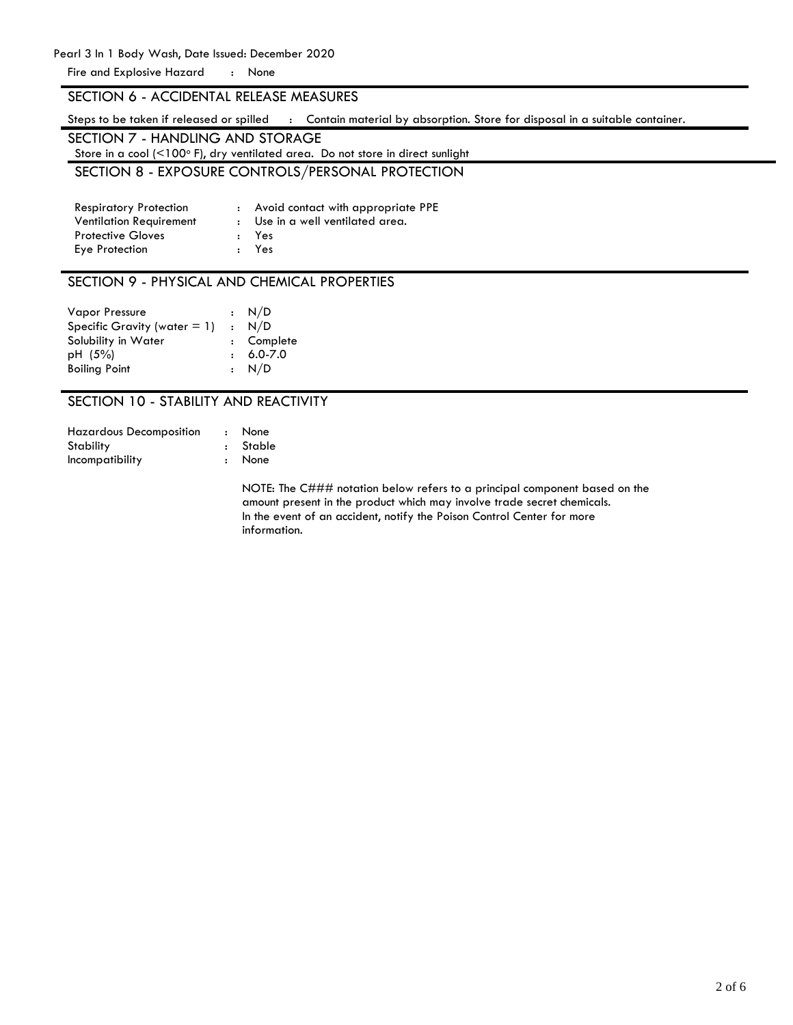Pearl 3 In 1 Body Wash, Date Issued: December 2020 Fire and Explosive Hazard : None

### SECTION 6 - ACCIDENTAL RELEASE MEASURES

Steps to be taken if released or spilled : Contain material by absorption. Store for disposal in a suitable container.

| SECTION 7 - HANDLING AND STORAGE                                                            |
|---------------------------------------------------------------------------------------------|
| Store in a cool ( $\leq 100^\circ$ F), dry ventilated area. Do not store in direct sunlight |
| SECTION 8 - EXPOSURE CONTROLS/PERSONAL PROTECTION                                           |

| <b>Respiratory Protection</b>  | : Avoid contact with appropriate PPE |
|--------------------------------|--------------------------------------|
| <b>Ventilation Requirement</b> | : Use in a well ventilated area.     |
| <b>Protective Gloves</b>       | : Yes                                |
| Eye Protection                 | : Yes                                |

#### SECTION 9 - PHYSICAL AND CHEMICAL PROPERTIES

| $\therefore$ N/D                |
|---------------------------------|
| : N/D                           |
| : Complete                      |
| $6.0 - 7.0$                     |
| $\cdot$ N/D                     |
| Specific Gravity (water $= 1$ ) |

## SECTION 10 - STABILITY AND REACTIVITY

| <b>Hazardous Decomposition</b> | $\sim$ $\sim$ | None     |
|--------------------------------|---------------|----------|
| Stability                      |               | : Stable |
| Incompatibility                |               | : None   |

NOTE: The C### notation below refers to a principal component based on the amount present in the product which may involve trade secret chemicals. In the event of an accident, notify the Poison Control Center for more information.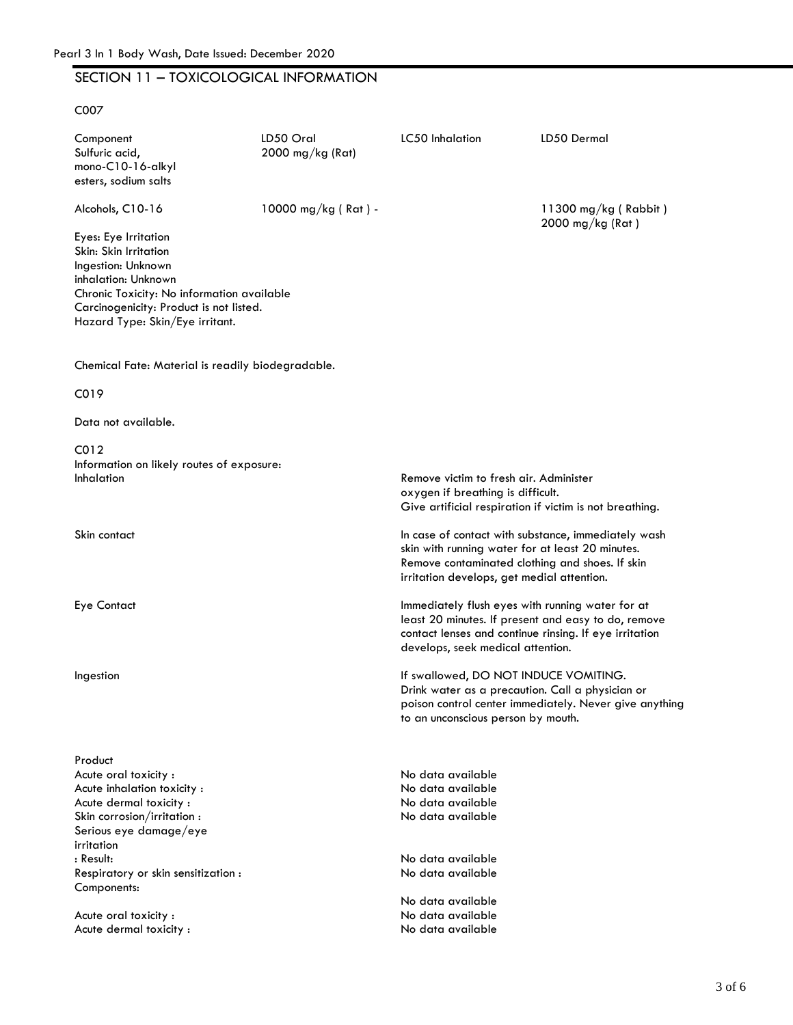# Pearl 3 In 1 Body Wash, Date Issued: December 2020<br>SECTION 11 – TOXICOLOGICAL INFORMATION

C007

| LD50 Oral<br>2000 mg/kg (Rat) | LC50 Inhalation                                                                                                                                                                                          | LD50 Dermal                                            |
|-------------------------------|----------------------------------------------------------------------------------------------------------------------------------------------------------------------------------------------------------|--------------------------------------------------------|
| 10000 mg/kg (Rat) -           |                                                                                                                                                                                                          | $11300$ mg/kg (Rabbit)<br>2000 mg/kg (Rat)             |
|                               |                                                                                                                                                                                                          |                                                        |
|                               |                                                                                                                                                                                                          |                                                        |
|                               |                                                                                                                                                                                                          |                                                        |
|                               | Remove victim to fresh air. Administer<br>oxygen if breathing is difficult.<br>Give artificial respiration if victim is not breathing.                                                                   |                                                        |
|                               | In case of contact with substance, immediately wash<br>skin with running water for at least 20 minutes.<br>Remove contaminated clothing and shoes. If skin<br>irritation develops, get medial attention. |                                                        |
|                               | Immediately flush eyes with running water for at<br>least 20 minutes. If present and easy to do, remove<br>contact lenses and continue rinsing. If eye irritation<br>develops, seek medical attention.   |                                                        |
|                               | If swallowed, DO NOT INDUCE VOMITING.<br>Drink water as a precaution. Call a physician or<br>to an unconscious person by mouth.                                                                          | poison control center immediately. Never give anything |
|                               | No data available<br>No data available<br>No data available<br>No data available<br>No data available<br>No data available<br>No data available<br>No data available<br>No data available                |                                                        |
|                               | Chronic Toxicity: No information available<br>Carcinogenicity: Product is not listed.<br>Chemical Fate: Material is readily biodegradable.<br>Information on likely routes of exposure:                  |                                                        |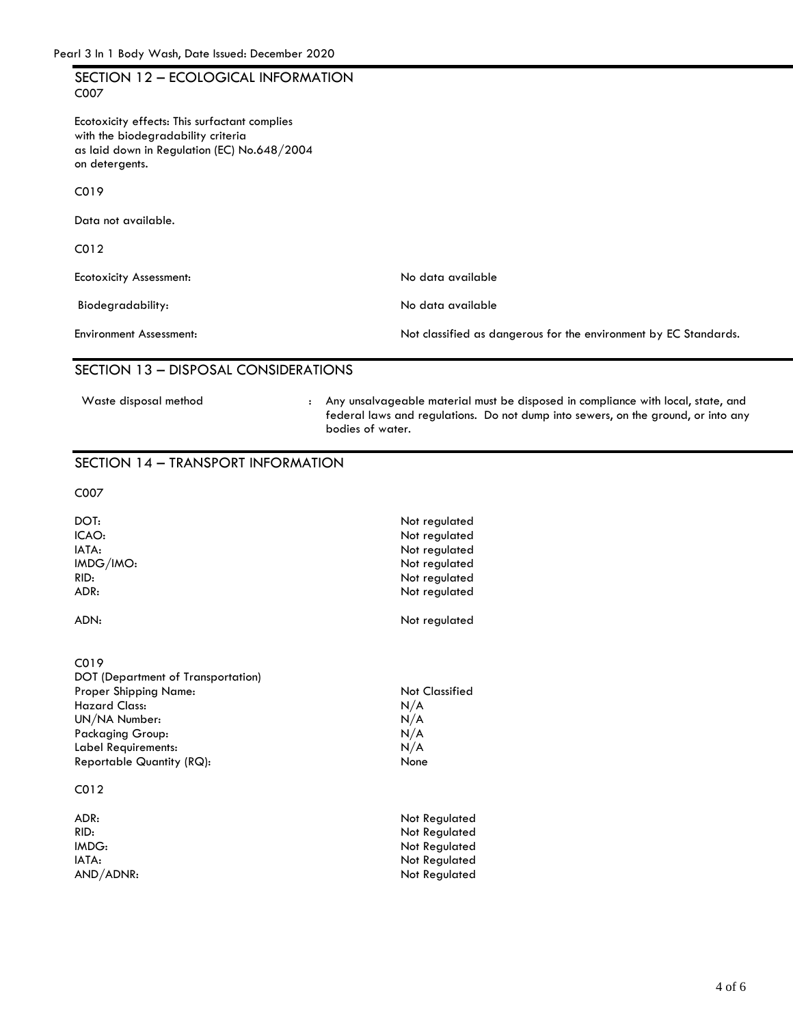| Pearl 3 In 1 Body Wash, Date Issued: December 2020                                                                                                                                                        |
|-----------------------------------------------------------------------------------------------------------------------------------------------------------------------------------------------------------|
| SECTION 12 - ECOLOGICAL INFORMATION                                                                                                                                                                       |
| as laid down in Regulation (EC) No.648/2004                                                                                                                                                               |
|                                                                                                                                                                                                           |
|                                                                                                                                                                                                           |
|                                                                                                                                                                                                           |
| No data available                                                                                                                                                                                         |
| No data available                                                                                                                                                                                         |
| Not classified as dangerous for the environment by EC Standards.                                                                                                                                          |
| SECTION 13 - DISPOSAL CONSIDERATIONS                                                                                                                                                                      |
| Any unsalvageable material must be disposed in compliance with local, state, and<br>$\mathbf{L}$<br>federal laws and regulations. Do not dump into sewers, on the ground, or into any<br>bodies of water. |
| SECTION 14 - TRANSPORT INFORMATION                                                                                                                                                                        |
|                                                                                                                                                                                                           |
| Not regulated<br>Not regulated<br>Not regulated<br>Not regulated<br>Not regulated<br>Not regulated                                                                                                        |
|                                                                                                                                                                                                           |

#### ADN: Not regulated

C019 DOT (Department of Transportation) Proper Shipping Name:<br>
Hazard Class: N/A Hazard Class: N/A<br>UN/NA Number: N/A UN/NA Number: N/A<br>Packaging Group: N/A Packaging Group: N/A<br>Label Requirements: N/A Label Requirements: Reportable Quantity (RQ): None C012

ADR: Not Regulated<br>RID: Not Regulated<br>Not Regulated Not Regulated IMDG: Not Regulated IATA: Not Regulated AND/ADNR: Not Regulated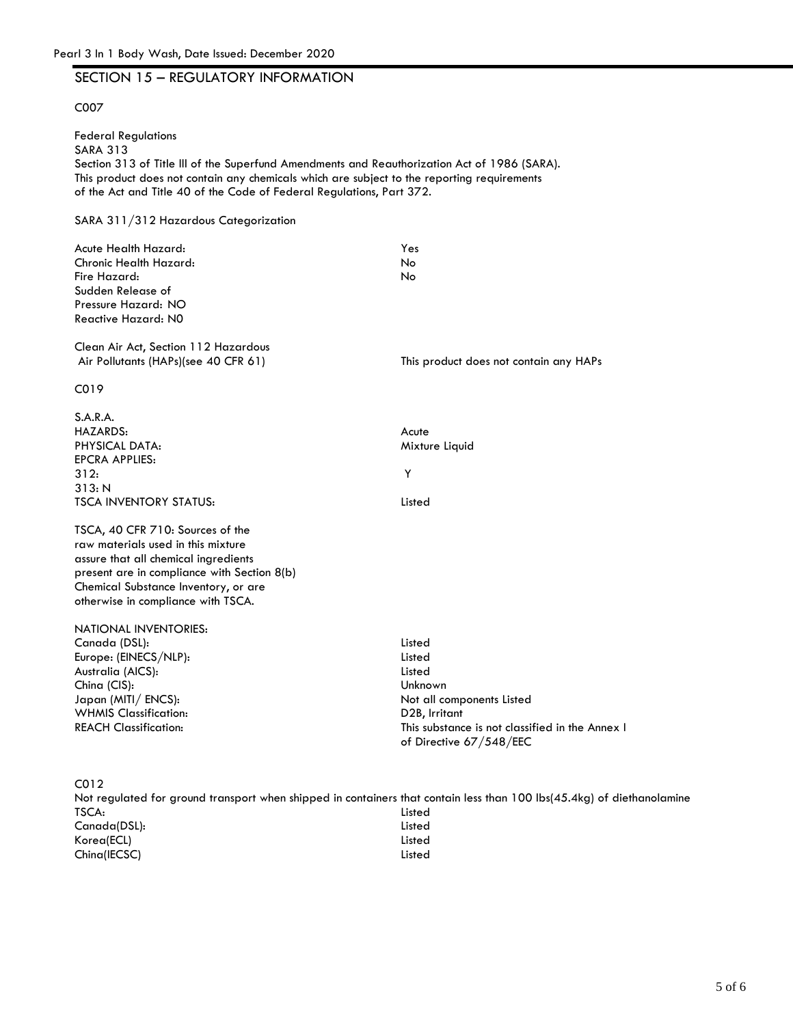# Pearl 3 In 1 Body Wash, Date Issued: December 2020<br>SECTION 15 – REGULATORY INFORMATION

#### C007

Federal Regulations SARA 313 Section 313 of Title lll of the Superfund Amendments and Reauthorization Act of 1986 (SARA). This product does not contain any chemicals which are subject to the reporting requirements of the Act and Title 40 of the Code of Federal Regulations, Part 372. SARA 311/312 Hazardous Categorization Acute Health Hazard: Chronic Health Hazard: Fire Hazard: Yes No No

Sudden Release of Pressure Hazard: NO Reactive Hazard: N0

Clean Air Act, Section 112 Hazardous Air Pollutants (HAPs)(see 40 CFR 61) This product does not contain any HAPs

C019

| S.A.R.A.<br><b>HAZARDS:</b><br>PHYSICAL DATA:<br><b>EPCRA APPLIES:</b><br>312:<br>313: N<br><b>TSCA INVENTORY STATUS:</b>                                                                                                                   | Acute<br>Mixture Liquid<br>Y<br>Listed                                     |
|---------------------------------------------------------------------------------------------------------------------------------------------------------------------------------------------------------------------------------------------|----------------------------------------------------------------------------|
| TSCA, 40 CFR 710: Sources of the<br>raw materials used in this mixture<br>assure that all chemical ingredients<br>present are in compliance with Section 8(b)<br>Chemical Substance Inventory, or are<br>otherwise in compliance with TSCA. |                                                                            |
| NATIONAL INVENTORIES:                                                                                                                                                                                                                       |                                                                            |
| Canada (DSL):                                                                                                                                                                                                                               | Listed                                                                     |
| Europe: (EINECS/NLP):                                                                                                                                                                                                                       | Listed                                                                     |
| Australia (AICS):                                                                                                                                                                                                                           | Listed                                                                     |
| China (CIS):                                                                                                                                                                                                                                | Unknown                                                                    |
| Japan (MITI/ ENCS):                                                                                                                                                                                                                         | Not all components Listed                                                  |
| <b>WHMIS Classification:</b>                                                                                                                                                                                                                | D2B, Irritant                                                              |
| <b>REACH Classification:</b>                                                                                                                                                                                                                | This substance is not classified in the Annex I<br>of Directive 67/548/EEC |
| CO12                                                                                                                                                                                                                                        |                                                                            |
| Not regulated for ground transport when shipped in containers that contain less than 100 lbs(45.4kg) of diethanolamine                                                                                                                      |                                                                            |
| TSCA:                                                                                                                                                                                                                                       | Listed                                                                     |
| Canada(DSL):                                                                                                                                                                                                                                | Listed                                                                     |
| Korea(ECL)                                                                                                                                                                                                                                  | Listed                                                                     |
| Ching(IECSC)                                                                                                                                                                                                                                | Listed                                                                     |